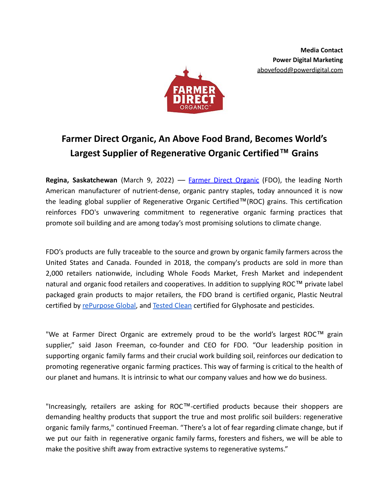

# **Farmer Direct Organic, An Above Food Brand, Becomes World's Largest Supplier of Regenerative Organic Certified™ Grains**

**Regina, Saskatchewan** (March 9, 2022) –– Farmer Direct [Organic](http://www.fdorganic.com/) (FDO), the leading North American manufacturer of nutrient-dense, organic pantry staples, today announced it is now the leading global supplier of Regenerative Organic Certified™(ROC) grains. This certification reinforces FDO's unwavering commitment to regenerative organic farming practices that promote soil building and are among today's most promising solutions to climate change.

FDO's products are fully traceable to the source and grown by organic family farmers across the United States and Canada. Founded in 2018, the company's products are sold in more than 2,000 retailers nationwide, including Whole Foods Market, Fresh Market and independent natural and organic food retailers and cooperatives. In addition to supplying ROC™ private label packaged grain products to major retailers, the FDO brand is certified organic, Plastic Neutral certified by [rePurpose Global,](https://repurpose.global/) and [Tested Clean](https://testedclean.org/) certified for Glyphosate and pesticides.

"We at Farmer Direct Organic are extremely proud to be the world's largest ROC™ grain supplier," said Jason Freeman, co-founder and CEO for FDO. "Our leadership position in supporting organic family farms and their crucial work building soil, reinforces our dedication to promoting regenerative organic farming practices. This way of farming is critical to the health of our planet and humans. It is intrinsic to what our company values and how we do business.

"Increasingly, retailers are asking for ROC™-certified products because their shoppers are demanding healthy products that support the true and most prolific soil builders: regenerative organic family farms," continued Freeman. "There's a lot of fear regarding climate change, but if we put our faith in regenerative organic family farms, foresters and fishers, we will be able to make the positive shift away from extractive systems to regenerative systems."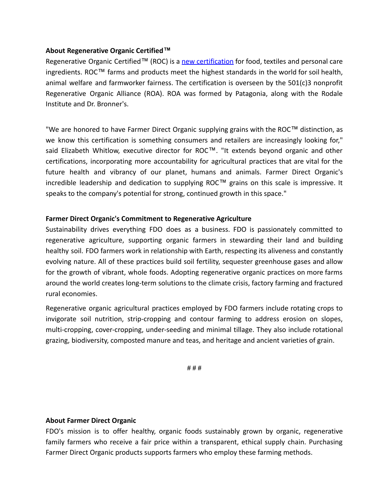# **About Regenerative Organic Certified™**

Regenerative Organic Certified™ (ROC) is a new [certification](https://regenorganic.org/) for food, textiles and personal care ingredients. ROC™ farms and products meet the highest standards in the world for soil health, animal welfare and farmworker fairness. The certification is overseen by the  $501(c)3$  nonprofit Regenerative Organic Alliance (ROA). ROA was formed by Patagonia, along with the Rodale Institute and Dr. Bronner's.

"We are honored to have Farmer Direct Organic supplying grains with the ROC™ distinction, as we know this certification is something consumers and retailers are increasingly looking for," said Elizabeth Whitlow, executive director for ROC™. "It extends beyond organic and other certifications, incorporating more accountability for agricultural practices that are vital for the future health and vibrancy of our planet, humans and animals. Farmer Direct Organic's incredible leadership and dedication to supplying ROC™ grains on this scale is impressive. It speaks to the company's potential for strong, continued growth in this space."

## **Farmer Direct Organic's Commitment to Regenerative Agriculture**

Sustainability drives everything FDO does as a business. FDO is passionately committed to regenerative agriculture, supporting organic farmers in stewarding their land and building healthy soil. FDO farmers work in relationship with Earth, respecting its aliveness and constantly evolving nature. All of these practices build soil fertility, sequester greenhouse gases and allow for the growth of vibrant, whole foods. Adopting regenerative organic practices on more farms around the world creates long-term solutions to the climate crisis, factory farming and fractured rural economies.

Regenerative organic agricultural practices employed by FDO farmers include rotating crops to invigorate soil nutrition, strip-cropping and contour farming to address erosion on slopes, multi-cropping, cover-cropping, under-seeding and minimal tillage. They also include rotational grazing, biodiversity, composted manure and teas, and heritage and ancient varieties of grain.

# # #

#### **About Farmer Direct Organic**

FDO's mission is to offer healthy, organic foods sustainably grown by organic, regenerative family farmers who receive a fair price within a transparent, ethical supply chain. Purchasing Farmer Direct Organic products supports farmers who employ these farming methods.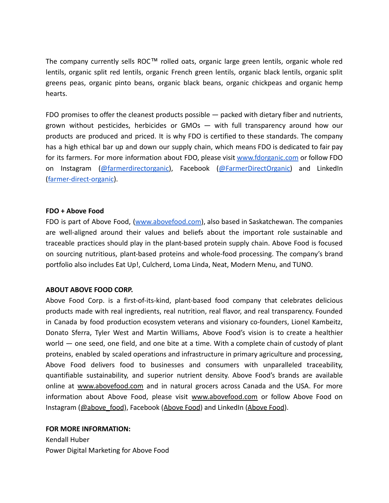The company currently sells ROC™ rolled oats, organic large green lentils, organic whole red lentils, organic split red lentils, organic French green lentils, organic black lentils, organic split greens peas, organic pinto beans, organic black beans, organic chickpeas and organic hemp hearts.

FDO promises to offer the cleanest products possible — packed with dietary fiber and nutrients, grown without pesticides, herbicides or GMOs — with full transparency around how our products are produced and priced. It is why FDO is certified to these standards. The company has a high ethical bar up and down our supply chain, which means FDO is dedicated to fair pay for its farmers. For more information about FDO, please visit [www.fdorganic.com](http://www.abovefood.com) or follow FDO on Instagram ([@farmerdirectorganic\)](https://www.instagram.com/farmerdirectorganic/), Facebook ([@FarmerDirectOrganic\)](https://www.facebook.com/FarmerDirectOrganic) and LinkedIn ([farmer-direct-organic](https://www.linkedin.com/company/farmer-direct-organic/)).

## **FDO + Above Food**

FDO is part of Above Food, [\(www.abovefood.com\)](http://www.abovefood.com), also based in Saskatchewan. The companies are well-aligned around their values and beliefs about the important role sustainable and traceable practices should play in the plant-based protein supply chain. Above Food is focused on sourcing nutritious, plant-based proteins and whole-food processing. The company's brand portfolio also includes Eat Up!, Culcherd, Loma Linda, Neat, Modern Menu, and TUNO.

# **ABOUT ABOVE FOOD CORP.**

Above Food Corp. is a first-of-its-kind, plant-based food company that celebrates delicious products made with real ingredients, real nutrition, real flavor, and real transparency. Founded in Canada by food production ecosystem veterans and visionary co-founders, Lionel Kambeitz, Donato Sferra, Tyler West and Martin Williams, Above Food's vision is to create a healthier world — one seed, one field, and one bite at a time. With a complete chain of custody of plant proteins, enabled by scaled operations and infrastructure in primary agriculture and processing, Above Food delivers food to businesses and consumers with unparalleled traceability, quantifiable sustainability, and superior nutrient density. Above Food's brands are available online at [www.abovefood.com](http://www.abovefood.com) and in natural grocers across Canada and the USA. For more information about Above Food, please visit [www.abovefood.com](http://www.abovefood.com) or follow Above Food on Instagram ([@above\\_food](https://www.instagram.com/above_food/)), Facebook ([Above Food](https://www.facebook.com/Above-Food-104425084773842)) and LinkedIn ([Above Food\)](https://www.linkedin.com/company/above-food).

#### **FOR MORE INFORMATION:**

Kendall Huber Power Digital Marketing for Above Food